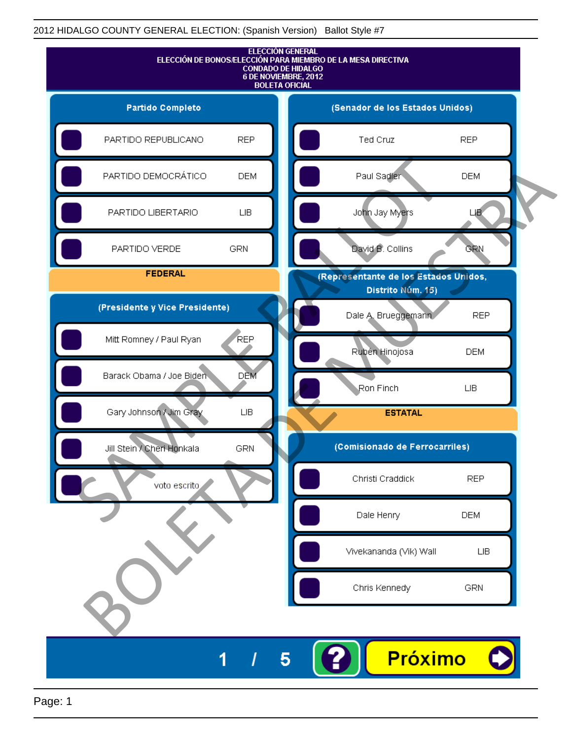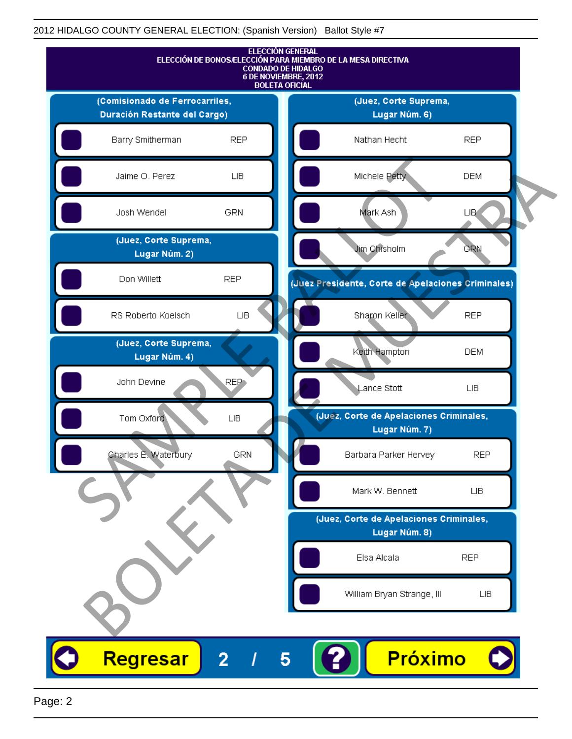|                                        |                  | <b>ELECCIÓN GENERAL</b><br>ELECCIÓN DE BONOS/ELECCIÓN PARA MIEMBRO DE LA MESA DIRECTIVA<br><b>CONDADO DE HIDALGO</b><br>6 DE NOVIEMBRE, 2012<br><b>BOLETA OFICIAL</b> |  |
|----------------------------------------|------------------|-----------------------------------------------------------------------------------------------------------------------------------------------------------------------|--|
| (Comisionado de Ferrocarriles,         |                  | (Juez, Corte Suprema,                                                                                                                                                 |  |
| Duración Restante del Cargo)           |                  | Lugar Núm. 6)                                                                                                                                                         |  |
| Barry Smitherman                       | <b>REP</b>       | <b>REP</b><br>Nathan Hecht                                                                                                                                            |  |
| Jaime O. Perez                         | ${\sf LB}$       | Michele Petty<br><b>DEM</b>                                                                                                                                           |  |
| Josh Wendel                            | <b>GRN</b>       | Mark Ash<br><b>LIB</b>                                                                                                                                                |  |
| (Juez, Corte Suprema,<br>Lugar Núm. 2) |                  | Jim Chisholm<br><b>GRN</b>                                                                                                                                            |  |
| Don Willett                            | <b>REP</b>       | (Juez Presidente, Corte de Apelaciones Criminales)                                                                                                                    |  |
| RS Roberto Koelsch                     | ${\sf LB}$       | Sharon Keller<br><b>REP</b>                                                                                                                                           |  |
| (Juez, Corte Suprema,<br>Lugar Núm. 4) |                  | Keith Hampton<br><b>DEM</b>                                                                                                                                           |  |
| John Devine                            | REP <sub>1</sub> | Lance Stott<br>LIВ                                                                                                                                                    |  |
| Tom Oxford                             | <b>LIB</b>       | (Juéz, Corte de Apelaciones Criminales,<br>Lugar Núm. 7)                                                                                                              |  |
| Charles E. Waterbury                   | <b>GRN</b>       | <b>REP</b><br>Barbara Parker Hervey                                                                                                                                   |  |
|                                        |                  | Mark W. Bennett<br>LIB.                                                                                                                                               |  |
|                                        |                  | (Juez, Corte de Apelaciones Criminales,                                                                                                                               |  |
|                                        |                  | Lugar Núm. 8)                                                                                                                                                         |  |
|                                        |                  | Elsa Alcala<br><b>REP</b>                                                                                                                                             |  |
|                                        |                  | William Bryan Strange, III<br>LIВ                                                                                                                                     |  |
|                                        |                  |                                                                                                                                                                       |  |
| Regresar                               | $\overline{2}$   | Próximo<br>5                                                                                                                                                          |  |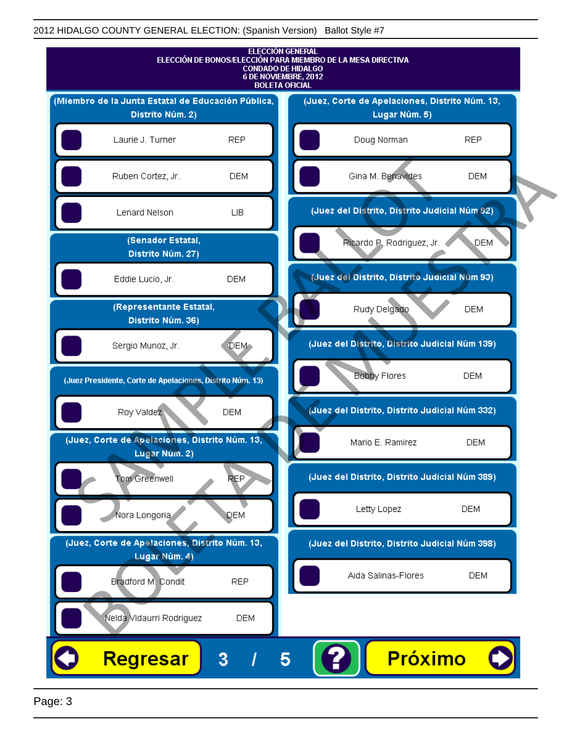

Page: 3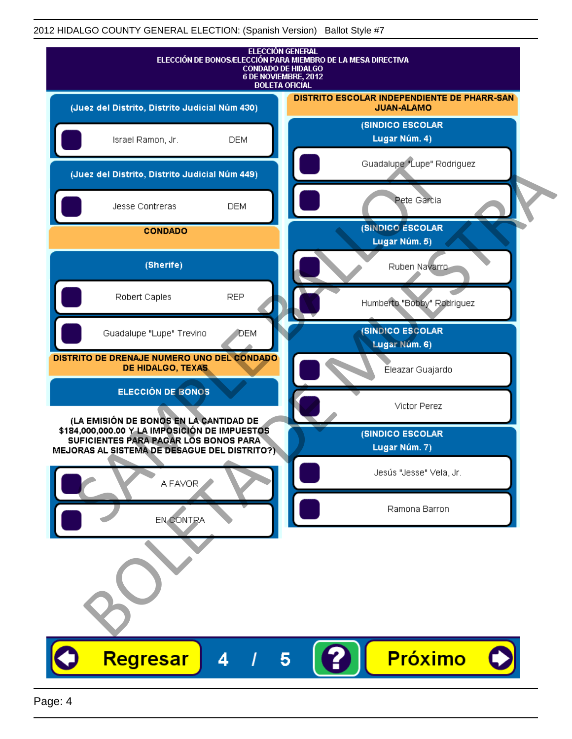|                                                                                                                                                                                   | <b>ELECCIÓN GENERAL</b><br>ELECCIÓN DE BONOS/ELECCIÓN PARA MIEMBRO DE LA MESA DIRECTIVA<br><b>CONDADO DE HIDALGO</b><br>6 DE NOVIEMBRE, 2012<br><b>BOLETA OFICIAL</b> |
|-----------------------------------------------------------------------------------------------------------------------------------------------------------------------------------|-----------------------------------------------------------------------------------------------------------------------------------------------------------------------|
| (Juez del Distrito, Distrito Judicial Núm 430)                                                                                                                                    | DISTRITO ESCOLAR INDEPENDIENTE DE PHARR-SAN<br><b>JUAN-ALAMO</b>                                                                                                      |
| Israel Ramon, Jr.<br><b>DEM</b>                                                                                                                                                   | <b>(SINDICO ESCOLAR</b><br>Lugar Núm. 4)                                                                                                                              |
| (Juez del Distrito, Distrito Judicial Núm 449)                                                                                                                                    | Guadalupe "Lupe" Rodriguez                                                                                                                                            |
| Jesse Contreras<br><b>DEM</b>                                                                                                                                                     | Pete Garcia                                                                                                                                                           |
| <b>CONDADO</b>                                                                                                                                                                    | <b>(SINDICO ESCOLAR</b><br>Lugar Núm. 5)                                                                                                                              |
| (Sherife)                                                                                                                                                                         | Ruben Navarro                                                                                                                                                         |
| Robert Caples<br><b>REP</b>                                                                                                                                                       | Humberto "Bobby" Rodriguez                                                                                                                                            |
| Guadalupe "Lupe" Trevino<br>DEM                                                                                                                                                   | (SINDICO ESCOLAR<br>Lugar Núm. 6)                                                                                                                                     |
| DISTRITO DE DRENAJE NUMERO UNO DEL CONDADO<br>DE HIDALGO, TEXAS                                                                                                                   | Éleazar Guajardo                                                                                                                                                      |
| <b>ELECCIÓN DE BONOS</b>                                                                                                                                                          | Victor Perez                                                                                                                                                          |
| (LA EMISIÓN DE BONOS EN LA CANTIDAD DE<br>\$184,000,000.00 Y LA IMPOSICIÓN DE IMPUESTOS<br>SUFICIENTES PARA PAGAR LOS BONOS PARA<br>MEJORAS AL SISTEMA DE DESAGUE DEL DISTRITO?). | (SINDICO ESCOLAR<br>Lugar Núm. 7)                                                                                                                                     |
| A FAVOR                                                                                                                                                                           | Jesús "Jesse" Vela, Jr.                                                                                                                                               |
| EN CONTRA                                                                                                                                                                         | Ramona Barron                                                                                                                                                         |
|                                                                                                                                                                                   |                                                                                                                                                                       |
| Regresar<br>Δ                                                                                                                                                                     | <b>Próximo</b><br>5                                                                                                                                                   |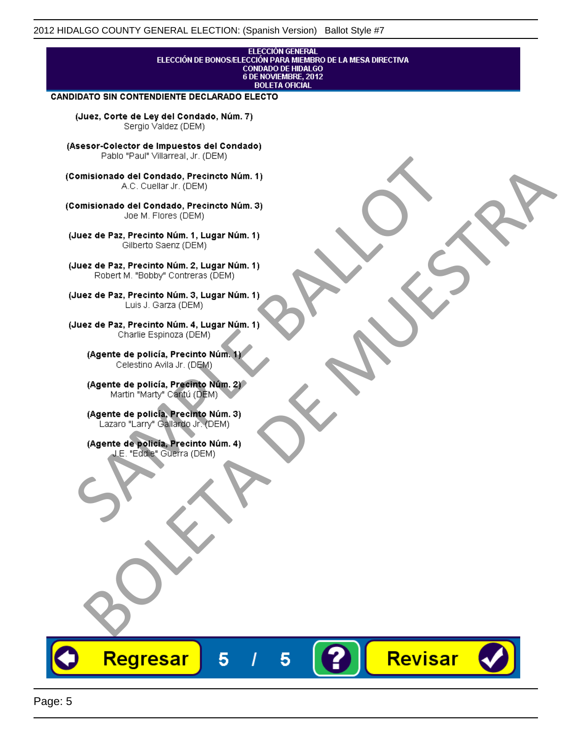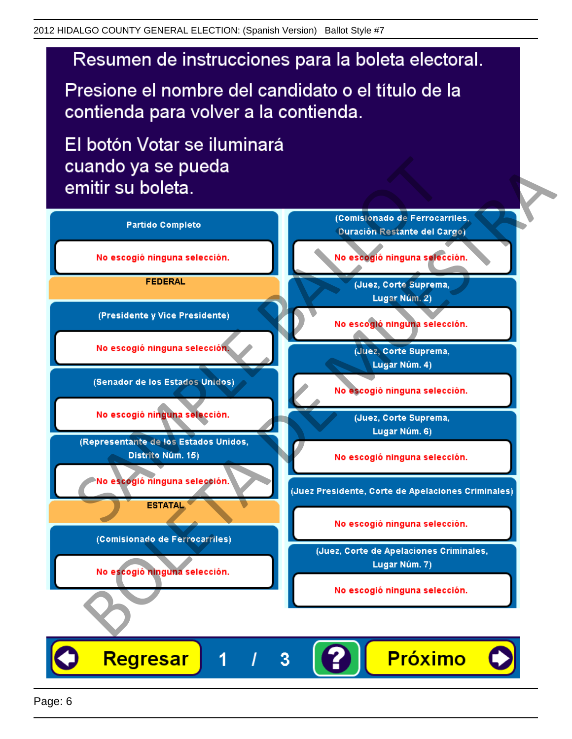# Resumen de instrucciones para la boleta electoral.

Presione el nombre del candidato o el título de la contienda para volver a la contienda.

El botón Votar se iluminará

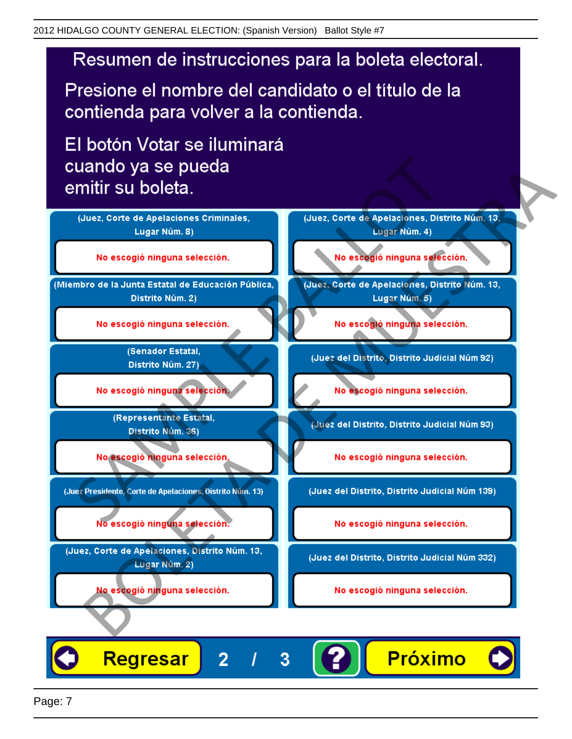# Resumen de instrucciones para la boleta electoral.

Presione el nombre del candidato o el título de la contienda para volver a la contienda.

El botón Votar se iluminará